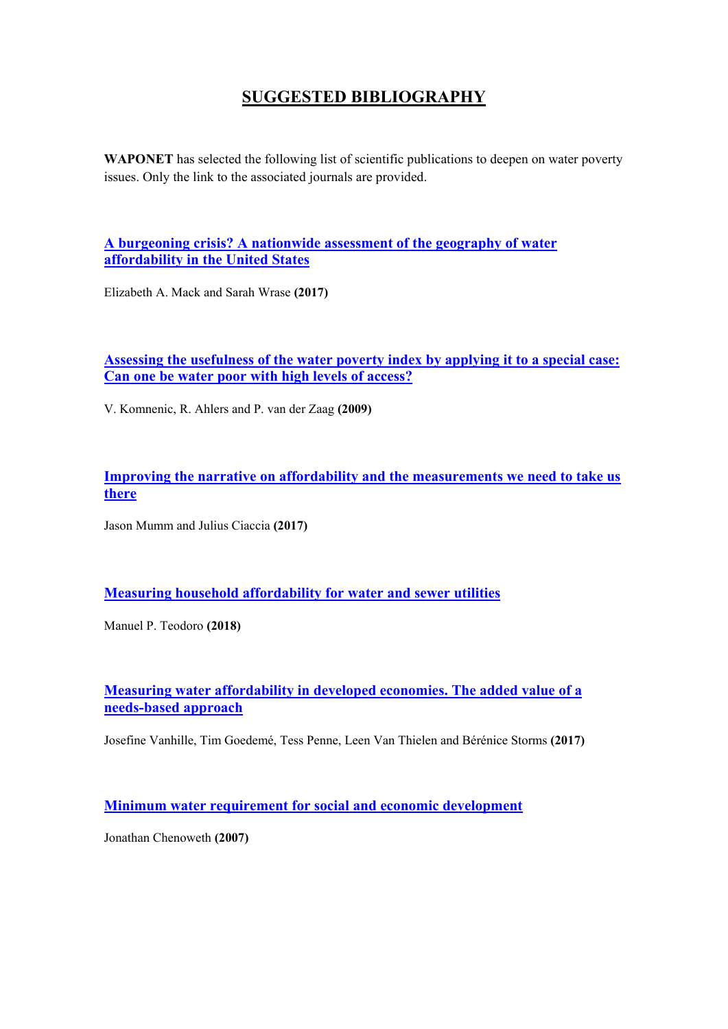## **SUGGESTED BIBLIOGRAPHY**

**WAPONET** has selected the following list of scientific publications to deepen on water poverty issues. Only the link to the associated journals are provided.

**A burgeoning crisis? [A nationwide assessment of the geography of water](https://journals.plos.org/plosone/article?id=10.1371/journal.pone.0169488)  [affordability in the United States](https://journals.plos.org/plosone/article?id=10.1371/journal.pone.0169488)**

Elizabeth A. Mack and Sarah Wrase **(2017)**

## **[Assessing the usefulness of the water poverty index by applying it to a special case:](https://www.sciencedirect.com/science/article/pii/S1474706508000636)  [Can one be water poor with high levels of access?](https://www.sciencedirect.com/science/article/pii/S1474706508000636)**

V. Komnenic, R. Ahlers and P. van der Zaag **(2009)**

**[Improving the narrative on affordability and the measurements we need to take us](https://awwa.onlinelibrary.wiley.com/doi/abs/10.5942/jawwa.2017.109.0060)  [there](https://awwa.onlinelibrary.wiley.com/doi/abs/10.5942/jawwa.2017.109.0060)**

Jason Mumm and Julius Ciaccia **(2017)**

**[Measuring household affordability for water and sewer utilities](https://awwa.onlinelibrary.wiley.com/doi/full/10.5942/jawwa.2018.110.0002)**

Manuel P. Teodoro **(2018)**

**[Measuring water affordability in developed economies. The added value of a](https://www.sciencedirect.com/science/article/pii/S0301479718303396?via%3Dihub)  [needs-based approach](https://www.sciencedirect.com/science/article/pii/S0301479718303396?via%3Dihub)**

Josefine Vanhille, Tim Goedemé, Tess Penne, Leen Van Thielen and Bérénice Storms **(2017)**

**Minimum water requirement for [social and economic development](https://www.sciencedirect.com/science/article/abs/pii/S0011916408002865)**

Jonathan Chenoweth **(2007)**